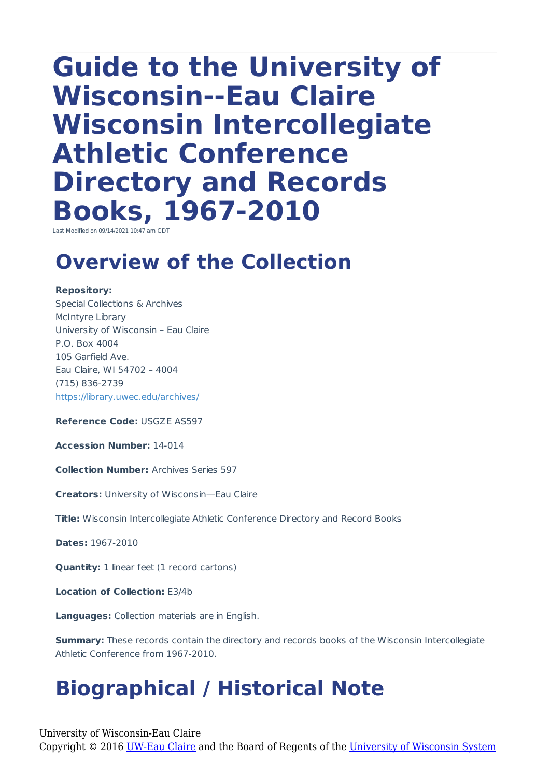# **Guide to the University of Wisconsin--Eau Claire Wisconsin Intercollegiate Athletic Conference Directory and Records Books, 1967-2010**

Last Modified on 09/14/2021 10:47 am CDT

### **Overview of the Collection**

#### **Repository:**

Special Collections & Archives McIntyre Library University of Wisconsin – Eau Claire P.O. Box 4004 105 Garfield Ave. Eau Claire, WI 54702 – 4004 (715) 836-2739 https://library.uwec.edu/archives/

**Reference Code:** USGZE AS597

**Accession Number:** 14-014

**Collection Number:** Archives Series 597

**Creators:** University of Wisconsin—Eau Claire

**Title:** Wisconsin Intercollegiate Athletic Conference Directory and Record Books

**Dates:** 1967-2010

**Quantity:** 1 linear feet (1 record cartons)

**Location of Collection:** E3/4b

**Languages:** Collection materials are in English.

**Summary:** These records contain the directory and records books of the Wisconsin Intercollegiate Athletic Conference from 1967-2010.

# **Biographical / Historical Note**

University of Wisconsin-Eau Claire Copyright © 2016 [UW-Eau Claire](http://www.uwec.edu) and the Board of Regents of the [University of Wisconsin System](http://www.uwsa.edu/)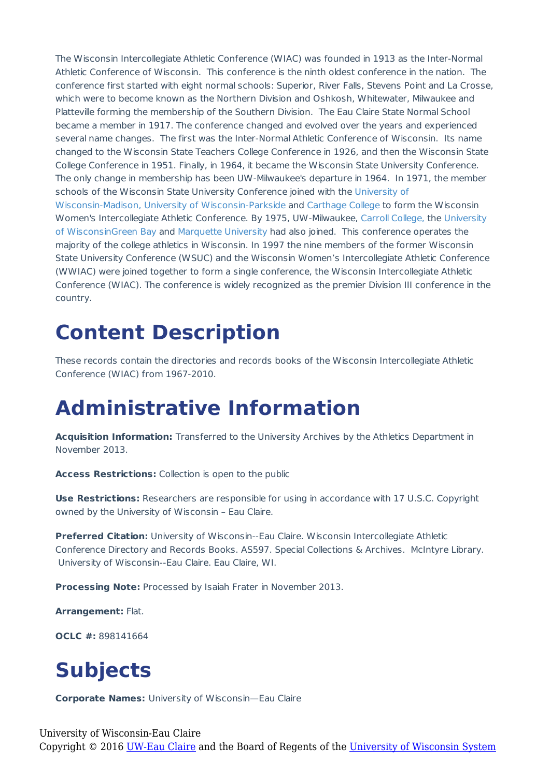The Wisconsin Intercollegiate Athletic Conference (WIAC) was founded in 1913 as the Inter-Normal Athletic Conference of Wisconsin. This conference is the ninth oldest conference in the nation. The conference first started with eight normal schools: Superior, River Falls, Stevens Point and La Crosse, which were to become known as the Northern Division and Oshkosh, Whitewater, Milwaukee and Platteville forming the membership of the Southern Division. The Eau Claire State Normal School became a member in 1917. The conference changed and evolved over the years and experienced several name changes. The first was the Inter-Normal Athletic Conference of Wisconsin. Its name changed to the Wisconsin State Teachers College Conference in 1926, and then the Wisconsin State College Conference in 1951. Finally, in 1964, it became the Wisconsin State University Conference. The only change in membership has been UW-Milwaukee's departure in 1964. In 1971, the member schools of the Wisconsin State University Conference joined with the University of Wisconsin-Madison, University of Wisconsin-Parkside and Carthage College to form the Wisconsin Women's Intercollegiate Athletic Conference. By 1975, UW-Milwaukee, Carroll College, the University of WisconsinGreen Bay and Marquette University had also joined. This conference operates the majority of the college athletics in Wisconsin. In 1997 the nine members of the former Wisconsin State University Conference (WSUC) and the Wisconsin Women's Intercollegiate Athletic Conference (WWIAC) were joined together to form a single conference, the Wisconsin Intercollegiate Athletic Conference (WIAC). The conference is widely recognized as the premier Division III conference in the country.

#### **Content Description**

These records contain the directories and records books of the Wisconsin Intercollegiate Athletic Conference (WIAC) from 1967-2010.

### **Administrative Information**

**Acquisition Information:** Transferred to the University Archives by the Athletics Department in November 2013.

**Access Restrictions:** Collection is open to the public

**Use Restrictions:** Researchers are responsible for using in accordance with 17 U.S.C. Copyright owned by the University of Wisconsin – Eau Claire.

**Preferred Citation:** University of Wisconsin--Eau Claire. Wisconsin Intercollegiate Athletic Conference Directory and Records Books. AS597. Special Collections & Archives. McIntyre Library. University of Wisconsin--Eau Claire. Eau Claire, WI.

**Processing Note:** Processed by Isaiah Frater in November 2013.

**Arrangement:** Flat.

**OCLC #:** 898141664

## **Subjects**

**Corporate Names:** University of Wisconsin—Eau Claire